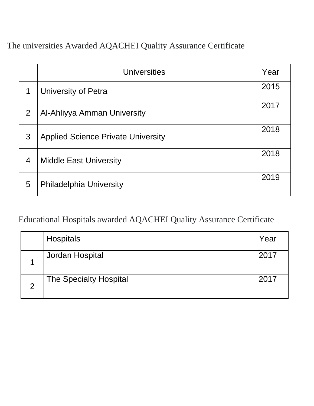The universities Awarded AQACHEI Quality Assurance Certificate

|                | <b>Universities</b>                       | Year |
|----------------|-------------------------------------------|------|
| 1              | <b>University of Petra</b>                | 2015 |
| 2              | Al-Ahliyya Amman University               | 2017 |
| 3              | <b>Applied Science Private University</b> | 2018 |
| $\overline{4}$ | <b>Middle East University</b>             | 2018 |
| 5              | <b>Philadelphia University</b>            | 2019 |

Educational Hospitals awarded AQACHEI Quality Assurance Certificate

|               | Hospitals                     | Year |
|---------------|-------------------------------|------|
|               | Jordan Hospital               | 2017 |
| $\mathcal{P}$ | <b>The Specialty Hospital</b> | 2017 |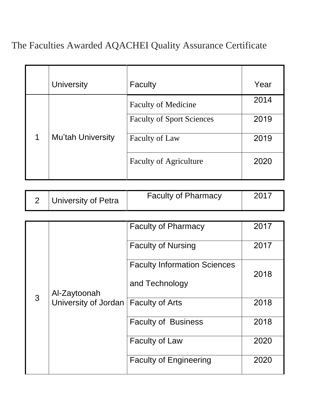## The Faculties Awarded AQACHEI Quality Assurance Certificate

|                      | <b>University</b>        | Faculty                          | Year |
|----------------------|--------------------------|----------------------------------|------|
| $\blacktriangleleft$ | <b>Mu'tah University</b> | <b>Faculty of Medicine</b>       | 2014 |
|                      |                          | <b>Faculty of Sport Sciences</b> | 2019 |
|                      |                          | Faculty of Law                   | 2019 |
|                      |                          | <b>Faculty of Agriculture</b>    | 2020 |
|                      |                          |                                  |      |

|  | University of Petra | <b>Faculty of Pharmacy</b> | 2017 |
|--|---------------------|----------------------------|------|
|--|---------------------|----------------------------|------|

|               | Al-Zaytoonah<br>University of Jordan | <b>Faculty of Pharmacy</b>          | 2017 |
|---------------|--------------------------------------|-------------------------------------|------|
|               |                                      | <b>Faculty of Nursing</b>           | 2017 |
|               |                                      | <b>Faculty Information Sciences</b> | 2018 |
|               |                                      | and Technology                      |      |
| $\mathcal{S}$ |                                      | Faculty of Arts                     | 2018 |
|               |                                      | <b>Faculty of Business</b>          | 2018 |
|               |                                      | <b>Faculty of Law</b>               | 2020 |
|               |                                      | <b>Faculty of Engineering</b>       | 2020 |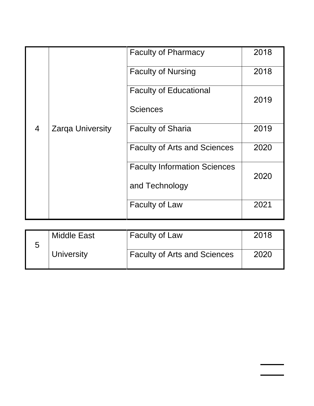|                |                         | <b>Faculty of Pharmacy</b>          | 2018 |
|----------------|-------------------------|-------------------------------------|------|
|                |                         | <b>Faculty of Nursing</b>           | 2018 |
|                |                         | <b>Faculty of Educational</b>       | 2019 |
|                |                         | <b>Sciences</b>                     |      |
| $\overline{4}$ | <b>Zarga University</b> | <b>Faculty of Sharia</b>            | 2019 |
|                |                         | <b>Faculty of Arts and Sciences</b> | 2020 |
|                |                         | <b>Faculty Information Sciences</b> | 2020 |
|                |                         | and Technology                      |      |
|                |                         | <b>Faculty of Law</b>               | 2021 |

| <b>Middle East</b> | <b>Faculty of Law</b>               | 2018 |
|--------------------|-------------------------------------|------|
| University         | <b>Faculty of Arts and Sciences</b> | 2020 |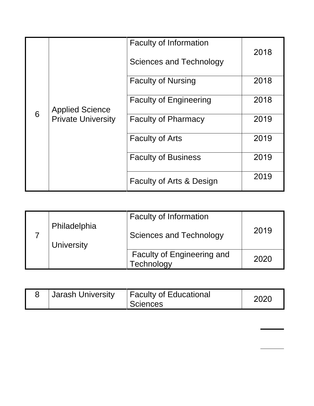|   |                                                     | <b>Faculty of Information</b> | 2018 |
|---|-----------------------------------------------------|-------------------------------|------|
|   | <b>Applied Science</b><br><b>Private University</b> | Sciences and Technology       |      |
|   |                                                     | <b>Faculty of Nursing</b>     | 2018 |
|   |                                                     | <b>Faculty of Engineering</b> | 2018 |
| 6 |                                                     | <b>Faculty of Pharmacy</b>    | 2019 |
|   |                                                     | <b>Faculty of Arts</b>        | 2019 |
|   |                                                     | <b>Faculty of Business</b>    | 2019 |
|   |                                                     | Faculty of Arts & Design      | 2019 |

|  |                   | <b>Faculty of Information</b>                   |      |
|--|-------------------|-------------------------------------------------|------|
|  | Philadelphia      | Sciences and Technology                         | 2019 |
|  | <b>University</b> |                                                 |      |
|  |                   | <b>Faculty of Engineering and</b><br>Technology | 2020 |

|  | <b>Jarash University</b> | <b>Faculty of Educational</b><br>Sciences | 202 <sup>c</sup> |
|--|--------------------------|-------------------------------------------|------------------|
|--|--------------------------|-------------------------------------------|------------------|